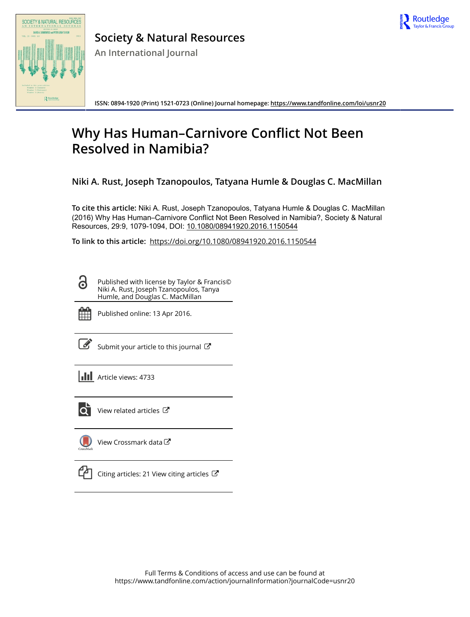

# SOCIETY & NATURAL RESOURCES  $\mathbb{R}$

**Society & Natural Resources**

**An International Journal**

**ISSN: 0894-1920 (Print) 1521-0723 (Online) Journal homepage:<https://www.tandfonline.com/loi/usnr20>**

## **Why Has Human–Carnivore Conflict Not Been Resolved in Namibia?**

**Niki A. Rust, Joseph Tzanopoulos, Tatyana Humle & Douglas C. MacMillan**

**To cite this article:** Niki A. Rust, Joseph Tzanopoulos, Tatyana Humle & Douglas C. MacMillan (2016) Why Has Human–Carnivore Conflict Not Been Resolved in Namibia?, Society & Natural Resources, 29:9, 1079-1094, DOI: [10.1080/08941920.2016.1150544](https://www.tandfonline.com/action/showCitFormats?doi=10.1080/08941920.2016.1150544)

**To link to this article:** <https://doi.org/10.1080/08941920.2016.1150544>

Published with license by Taylor & Francis© Niki A. Rust, Joseph Tzanopoulos, Tanya Humle, and Douglas C. MacMillan



ര

Published online: 13 Apr 2016.

[Submit your article to this journal](https://www.tandfonline.com/action/authorSubmission?journalCode=usnr20&show=instructions)  $\mathbb{Z}$ 

**III** Article views: 4733



 $\overline{Q}$  [View related articles](https://www.tandfonline.com/doi/mlt/10.1080/08941920.2016.1150544)  $\overline{C}$ 

[View Crossmark data](http://crossmark.crossref.org/dialog/?doi=10.1080/08941920.2016.1150544&domain=pdf&date_stamp=2016-04-13)<sup>C</sup>



 $\mathbb{C}$  [Citing articles: 21 View citing articles](https://www.tandfonline.com/doi/citedby/10.1080/08941920.2016.1150544#tabModule)  $\mathbb{C}$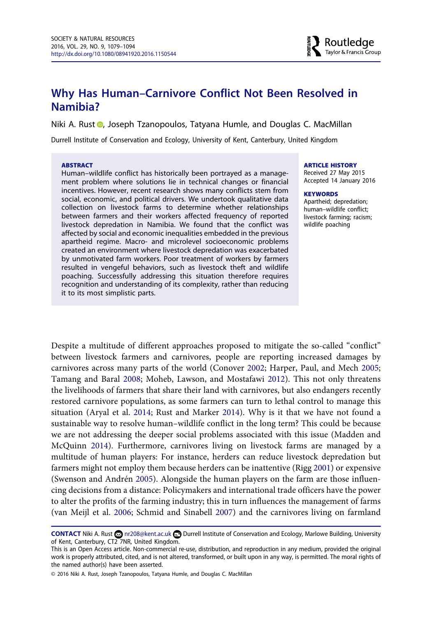### **Why Has Human–Carnivore Conflict Not Been Resolved in Namibia?**

Niki A. Rus[t](http://orcid.org/0000-0002-0421-6461) **D**, Joseph Tzanopoulos, Tatyana Humle, and Douglas C. MacMillan

Durrell Institute of Conservation and Ecology, University of Kent, Canterbury, United Kingdom

#### **ABSTRACT**

Human–wildlife conflict has historically been portrayed as a management problem where solutions lie in technical changes or financial incentives. However, recent research shows many conflicts stem from social, economic, and political drivers. We undertook qualitative data collection on livestock farms to determine whether relationships between farmers and their workers affected frequency of reported livestock depredation in Namibia. We found that the conflict was affected by social and economic inequalities embedded in the previous apartheid regime. Macro- and microlevel socioeconomic problems created an environment where livestock depredation was exacerbated by unmotivated farm workers. Poor treatment of workers by farmers resulted in vengeful behaviors, such as livestock theft and wildlife poaching. Successfully addressing this situation therefore requires recognition and understanding of its complexity, rather than reducing it to its most simplistic parts.

#### **ARTICLE HISTORY**

Received 27 May 2015 Accepted 14 January 2016

#### **KEYWORDS**

Apartheid; depredation; human–wildlife conflict; livestock farming; racism; wildlife poaching

Despite a multitude of different approaches proposed to mitigate the so-called "conflict" between livestock farmers and carnivores, people are reporting increased damages by carnivores across many parts of the world (Conover [2002;](#page-13-0) Harper, Paul, and Mech [2005;](#page-14-0) Tamang and Baral [2008;](#page-16-0) Moheb, Lawson, and Mostafawi [2012\)](#page-15-0). This not only threatens the livelihoods of farmers that share their land with carnivores, but also endangers recently restored carnivore populations, as some farmers can turn to lethal control to manage this situation (Aryal et al. [2014;](#page-13-0) Rust and Marker [2014\)](#page-15-0). Why is it that we have not found a sustainable way to resolve human–wildlife conflict in the long term? This could be because we are not addressing the deeper social problems associated with this issue (Madden and McQuinn [2014](#page-14-0)). Furthermore, carnivores living on livestock farms are managed by a multitude of human players: For instance, herders can reduce livestock depredation but farmers might not employ them because herders can be inattentive (Rigg [2001\)](#page-15-0) or expensive (Swenson and Andrén [2005](#page-16-0)). Alongside the human players on the farm are those influencing decisions from a distance: Policymakers and international trade officers have the power to alter the profits of the farming industry; this in turn influences the management of farms (van Meijl et al. [2006](#page-16-0); Schmid and Sinabell [2007\)](#page-15-0) and the carnivores living on farmland

**CONTACT** Niki A. Rust  $\Omega$  [nr208@kent.ac.uk](mailto:nr208@kent.ac.uk) Durrell Institute of Conservation and Ecology, Marlowe Building, University of Kent, Canterbury, CT2 7NR, United Kingdom.

This is an Open Access article. Non-commercial re-use, distribution, and reproduction in any medium, provided the original work is properly attributed, cited, and is not altered, transformed, or built upon in any way, is permitted. The moral rights of the named author(s) have been asserted.

<sup>© 2016</sup> Niki A. Rust, Joseph Tzanopoulos, Tatyana Humle, and Douglas C. MacMillan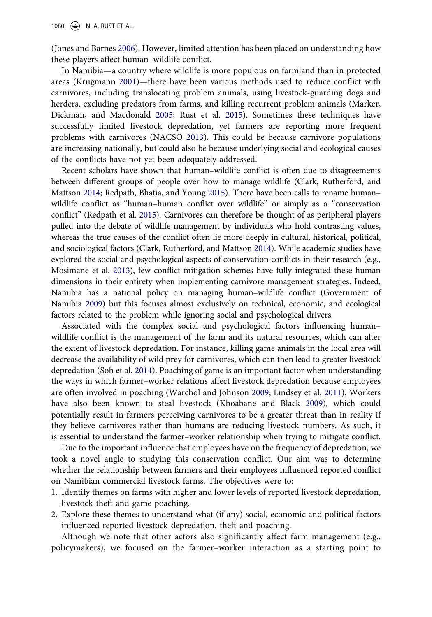(Jones and Barnes [2006\)](#page-14-0). However, limited attention has been placed on understanding how these players affect human–wildlife conflict.

In Namibia—a country where wildlife is more populous on farmland than in protected areas (Krugmann [2001](#page-14-0))—there have been various methods used to reduce conflict with carnivores, including translocating problem animals, using livestock-guarding dogs and herders, excluding predators from farms, and killing recurrent problem animals (Marker, Dickman, and Macdonald [2005;](#page-14-0) Rust et al. [2015](#page-15-0)). Sometimes these techniques have successfully limited livestock depredation, yet farmers are reporting more frequent problems with carnivores (NACSO [2013\)](#page-15-0). This could be because carnivore populations are increasing nationally, but could also be because underlying social and ecological causes of the conflicts have not yet been adequately addressed.

Recent scholars have shown that human–wildlife conflict is often due to disagreements between different groups of people over how to manage wildlife (Clark, Rutherford, and Mattson [2014;](#page-13-0) Redpath, Bhatia, and Young [2015\)](#page-15-0). There have been calls to rename human– wildlife conflict as "human–human conflict over wildlife" or simply as a "conservation conflict" (Redpath et al. [2015](#page-15-0)). Carnivores can therefore be thought of as peripheral players pulled into the debate of wildlife management by individuals who hold contrasting values, whereas the true causes of the conflict often lie more deeply in cultural, historical, political, and sociological factors (Clark, Rutherford, and Mattson [2014](#page-13-0)). While academic studies have explored the social and psychological aspects of conservation conflicts in their research (e.g., Mosimane et al. [2013\)](#page-15-0), few conflict mitigation schemes have fully integrated these human dimensions in their entirety when implementing carnivore management strategies. Indeed, Namibia has a national policy on managing human–wildlife conflict (Government of Namibia [2009](#page-14-0)) but this focuses almost exclusively on technical, economic, and ecological factors related to the problem while ignoring social and psychological drivers.

Associated with the complex social and psychological factors influencing human– wildlife conflict is the management of the farm and its natural resources, which can alter the extent of livestock depredation. For instance, killing game animals in the local area will decrease the availability of wild prey for carnivores, which can then lead to greater livestock depredation (Soh et al. [2014](#page-16-0)). Poaching of game is an important factor when understanding the ways in which farmer–worker relations affect livestock depredation because employees are often involved in poaching (Warchol and Johnson [2009;](#page-16-0) Lindsey et al. [2011](#page-14-0)). Workers have also been known to steal livestock (Khoabane and Black [2009\)](#page-14-0), which could potentially result in farmers perceiving carnivores to be a greater threat than in reality if they believe carnivores rather than humans are reducing livestock numbers. As such, it is essential to understand the farmer–worker relationship when trying to mitigate conflict.

Due to the important influence that employees have on the frequency of depredation, we took a novel angle to studying this conservation conflict. Our aim was to determine whether the relationship between farmers and their employees influenced reported conflict on Namibian commercial livestock farms. The objectives were to:

- 1. Identify themes on farms with higher and lower levels of reported livestock depredation, livestock theft and game poaching.
- 2. Explore these themes to understand what (if any) social, economic and political factors influenced reported livestock depredation, theft and poaching.

Although we note that other actors also significantly affect farm management (e.g., policymakers), we focused on the farmer–worker interaction as a starting point to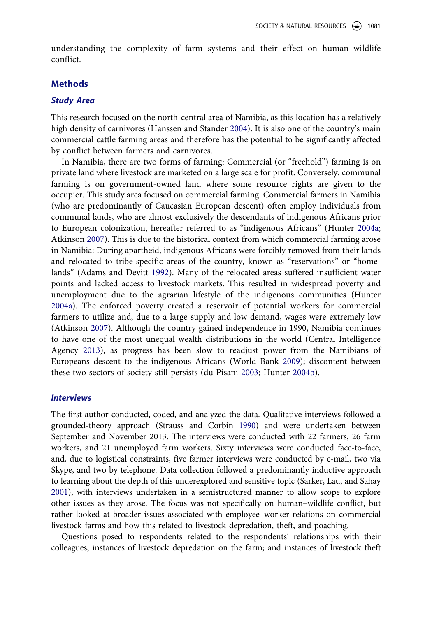understanding the complexity of farm systems and their effect on human–wildlife conflict.

#### **Methods**

#### *Study Area*

This research focused on the north-central area of Namibia, as this location has a relatively high density of carnivores (Hanssen and Stander [2004](#page-14-0)). It is also one of the country's main commercial cattle farming areas and therefore has the potential to be significantly affected by conflict between farmers and carnivores.

In Namibia, there are two forms of farming: Commercial (or "freehold") farming is on private land where livestock are marketed on a large scale for profit. Conversely, communal farming is on government-owned land where some resource rights are given to the occupier. This study area focused on commercial farming. Commercial farmers in Namibia (who are predominantly of Caucasian European descent) often employ individuals from communal lands, who are almost exclusively the descendants of indigenous Africans prior to European colonization, hereafter referred to as "indigenous Africans" (Hunter [2004a;](#page-14-0) Atkinson [2007\)](#page-13-0). This is due to the historical context from which commercial farming arose in Namibia: During apartheid, indigenous Africans were forcibly removed from their lands and relocated to tribe-specific areas of the country, known as "reservations" or "homelands" (Adams and Devitt [1992](#page-13-0)). Many of the relocated areas suffered insufficient water points and lacked access to livestock markets. This resulted in widespread poverty and unemployment due to the agrarian lifestyle of the indigenous communities (Hunter [2004a](#page-14-0)). The enforced poverty created a reservoir of potential workers for commercial farmers to utilize and, due to a large supply and low demand, wages were extremely low (Atkinson [2007\)](#page-13-0). Although the country gained independence in 1990, Namibia continues to have one of the most unequal wealth distributions in the world (Central Intelligence Agency [2013\)](#page-13-0), as progress has been slow to readjust power from the Namibians of Europeans descent to the indigenous Africans (World Bank [2009](#page-14-0)); discontent between these two sectors of society still persists (du Pisani [2003](#page-13-0); Hunter [2004b](#page-14-0)).

#### *Interviews*

The first author conducted, coded, and analyzed the data. Qualitative interviews followed a grounded-theory approach (Strauss and Corbin [1990](#page-16-0)) and were undertaken between September and November 2013. The interviews were conducted with 22 farmers, 26 farm workers, and 21 unemployed farm workers. Sixty interviews were conducted face-to-face, and, due to logistical constraints, five farmer interviews were conducted by e-mail, two via Skype, and two by telephone. Data collection followed a predominantly inductive approach to learning about the depth of this underexplored and sensitive topic (Sarker, Lau, and Sahay [2001](#page-15-0)), with interviews undertaken in a semistructured manner to allow scope to explore other issues as they arose. The focus was not specifically on human–wildlife conflict, but rather looked at broader issues associated with employee–worker relations on commercial livestock farms and how this related to livestock depredation, theft, and poaching.

Questions posed to respondents related to the respondents' relationships with their colleagues; instances of livestock depredation on the farm; and instances of livestock theft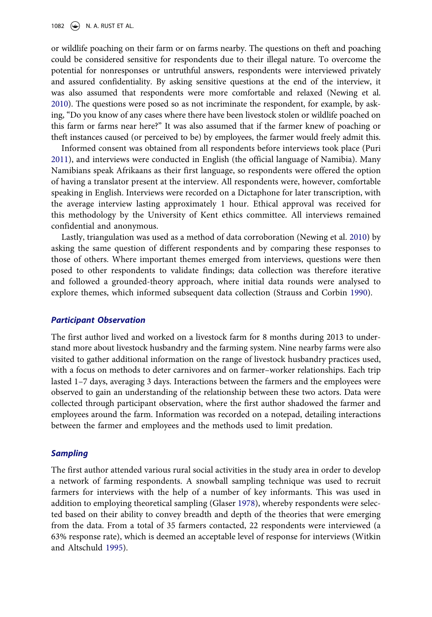or wildlife poaching on their farm or on farms nearby. The questions on theft and poaching could be considered sensitive for respondents due to their illegal nature. To overcome the potential for nonresponses or untruthful answers, respondents were interviewed privately and assured confidentiality. By asking sensitive questions at the end of the interview, it was also assumed that respondents were more comfortable and relaxed (Newing et al. [2010](#page-15-0)). The questions were posed so as not incriminate the respondent, for example, by asking, "Do you know of any cases where there have been livestock stolen or wildlife poached on this farm or farms near here?" It was also assumed that if the farmer knew of poaching or theft instances caused (or perceived to be) by employees, the farmer would freely admit this.

Informed consent was obtained from all respondents before interviews took place (Puri [2011\)](#page-15-0), and interviews were conducted in English (the official language of Namibia). Many Namibians speak Afrikaans as their first language, so respondents were offered the option of having a translator present at the interview. All respondents were, however, comfortable speaking in English. Interviews were recorded on a Dictaphone for later transcription, with the average interview lasting approximately 1 hour. Ethical approval was received for this methodology by the University of Kent ethics committee. All interviews remained confidential and anonymous.

Lastly, triangulation was used as a method of data corroboration (Newing et al. [2010\)](#page-15-0) by asking the same question of different respondents and by comparing these responses to those of others. Where important themes emerged from interviews, questions were then posed to other respondents to validate findings; data collection was therefore iterative and followed a grounded-theory approach, where initial data rounds were analysed to explore themes, which informed subsequent data collection (Strauss and Corbin [1990\)](#page-16-0).

#### *Participant Observation*

The first author lived and worked on a livestock farm for 8 months during 2013 to understand more about livestock husbandry and the farming system. Nine nearby farms were also visited to gather additional information on the range of livestock husbandry practices used, with a focus on methods to deter carnivores and on farmer–worker relationships. Each trip lasted 1–7 days, averaging 3 days. Interactions between the farmers and the employees were observed to gain an understanding of the relationship between these two actors. Data were collected through participant observation, where the first author shadowed the farmer and employees around the farm. Information was recorded on a notepad, detailing interactions between the farmer and employees and the methods used to limit predation.

#### *Sampling*

The first author attended various rural social activities in the study area in order to develop a network of farming respondents. A snowball sampling technique was used to recruit farmers for interviews with the help of a number of key informants. This was used in addition to employing theoretical sampling (Glaser [1978](#page-13-0)), whereby respondents were selected based on their ability to convey breadth and depth of the theories that were emerging from the data. From a total of 35 farmers contacted, 22 respondents were interviewed (a 63% response rate), which is deemed an acceptable level of response for interviews (Witkin and Altschuld [1995](#page-16-0)).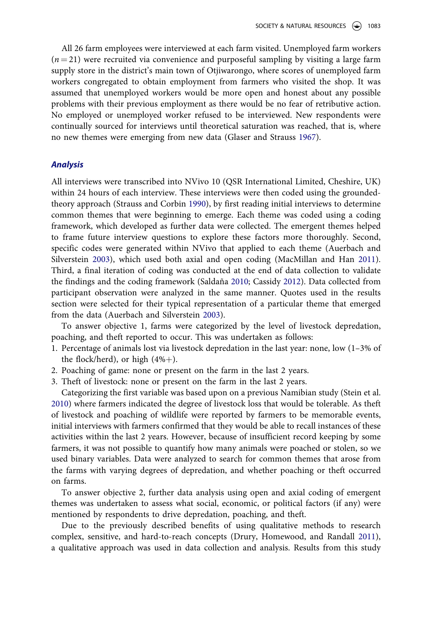All 26 farm employees were interviewed at each farm visited. Unemployed farm workers  $(n=21)$  were recruited via convenience and purposeful sampling by visiting a large farm supply store in the district's main town of Otjiwarongo, where scores of unemployed farm workers congregated to obtain employment from farmers who visited the shop. It was assumed that unemployed workers would be more open and honest about any possible problems with their previous employment as there would be no fear of retributive action. No employed or unemployed worker refused to be interviewed. New respondents were continually sourced for interviews until theoretical saturation was reached, that is, where no new themes were emerging from new data (Glaser and Strauss [1967\)](#page-14-0).

#### *Analysis*

All interviews were transcribed into NVivo 10 (QSR International Limited, Cheshire, UK) within 24 hours of each interview. These interviews were then coded using the groundedtheory approach (Strauss and Corbin [1990](#page-16-0)), by first reading initial interviews to determine common themes that were beginning to emerge. Each theme was coded using a coding framework, which developed as further data were collected. The emergent themes helped to frame future interview questions to explore these factors more thoroughly. Second, specific codes were generated within NVivo that applied to each theme (Auerbach and Silverstein [2003](#page-13-0)), which used both axial and open coding (MacMillan and Han [2011](#page-14-0)). Third, a final iteration of coding was conducted at the end of data collection to validate the findings and the coding framework (Saldaña [2010;](#page-15-0) Cassidy [2012\)](#page-13-0). Data collected from participant observation were analyzed in the same manner. Quotes used in the results section were selected for their typical representation of a particular theme that emerged from the data (Auerbach and Silverstein [2003\)](#page-13-0).

To answer objective 1, farms were categorized by the level of livestock depredation, poaching, and theft reported to occur. This was undertaken as follows:

- 1. Percentage of animals lost via livestock depredation in the last year: none, low (1–3% of the flock/herd), or high  $(4\%+)$ .
- 2. Poaching of game: none or present on the farm in the last 2 years.
- 3. Theft of livestock: none or present on the farm in the last 2 years.

Categorizing the first variable was based upon on a previous Namibian study (Stein et al. [2010\)](#page-16-0) where farmers indicated the degree of livestock loss that would be tolerable. As theft of livestock and poaching of wildlife were reported by farmers to be memorable events, initial interviews with farmers confirmed that they would be able to recall instances of these activities within the last 2 years. However, because of insufficient record keeping by some farmers, it was not possible to quantify how many animals were poached or stolen, so we used binary variables. Data were analyzed to search for common themes that arose from the farms with varying degrees of depredation, and whether poaching or theft occurred on farms.

To answer objective 2, further data analysis using open and axial coding of emergent themes was undertaken to assess what social, economic, or political factors (if any) were mentioned by respondents to drive depredation, poaching, and theft.

Due to the previously described benefits of using qualitative methods to research complex, sensitive, and hard-to-reach concepts (Drury, Homewood, and Randall [2011](#page-13-0)), a qualitative approach was used in data collection and analysis. Results from this study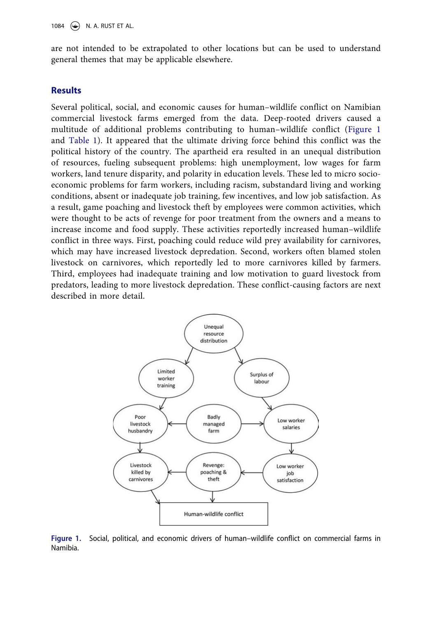are not intended to be extrapolated to other locations but can be used to understand general themes that may be applicable elsewhere.

#### **Results**

Several political, social, and economic causes for human–wildlife conflict on Namibian commercial livestock farms emerged from the data. Deep-rooted drivers caused a multitude of additional problems contributing to human–wildlife conflict (Figure 1 and [Table 1\)](#page-7-0). It appeared that the ultimate driving force behind this conflict was the political history of the country. The apartheid era resulted in an unequal distribution of resources, fueling subsequent problems: high unemployment, low wages for farm workers, land tenure disparity, and polarity in education levels. These led to micro socioeconomic problems for farm workers, including racism, substandard living and working conditions, absent or inadequate job training, few incentives, and low job satisfaction. As a result, game poaching and livestock theft by employees were common activities, which were thought to be acts of revenge for poor treatment from the owners and a means to increase income and food supply. These activities reportedly increased human–wildlife conflict in three ways. First, poaching could reduce wild prey availability for carnivores, which may have increased livestock depredation. Second, workers often blamed stolen livestock on carnivores, which reportedly led to more carnivores killed by farmers. Third, employees had inadequate training and low motivation to guard livestock from predators, leading to more livestock depredation. These conflict-causing factors are next described in more detail.



**Figure 1.** Social, political, and economic drivers of human–wildlife conflict on commercial farms in Namibia.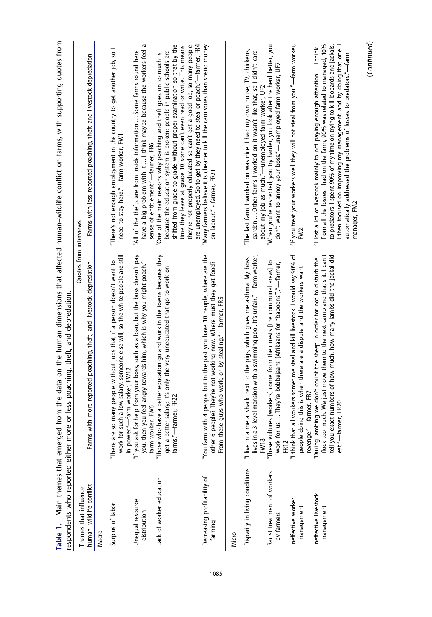<span id="page-7-0"></span>

| Main themes that emerged fr<br>espondents who reported either more<br>Table 1. | or less poaching, theft, and depredation.                                                                                                                                                                                                            | om the data on the human dimensions that affected human-wildlife conflict on farms, with supporting quotes from                                                                                                                                                                                                                                                                                  |
|--------------------------------------------------------------------------------|------------------------------------------------------------------------------------------------------------------------------------------------------------------------------------------------------------------------------------------------------|--------------------------------------------------------------------------------------------------------------------------------------------------------------------------------------------------------------------------------------------------------------------------------------------------------------------------------------------------------------------------------------------------|
| Themes that influence                                                          | Quotes from interviews                                                                                                                                                                                                                               |                                                                                                                                                                                                                                                                                                                                                                                                  |
| human-wildlife conflict                                                        | more reported poaching, theft, and livestock depredation<br>Farms with                                                                                                                                                                               | Farms with less reported poaching, theft and livestock depredation                                                                                                                                                                                                                                                                                                                               |
| Macro                                                                          |                                                                                                                                                                                                                                                      |                                                                                                                                                                                                                                                                                                                                                                                                  |
| Surplus of labor                                                               | work for such a low salary, someone else will; so the white people are still<br>"There are so many people without jobs that if a person doesn't want to<br>in power."-farm worker, FW12                                                              | "There's not enough employment in the country to get another job, so I<br>need to stay here."-farm worker, FW1                                                                                                                                                                                                                                                                                   |
| Unequal resource<br>distribution                                               | "If you ask for help from your boss, such as a loan, but the boss doesn't pay<br>you, then you feel angry towards him, which is why you might poach."—<br>farm worker, FW6                                                                           | G<br>have a big problem with it  I think maybe because the workers feel<br>'All of the thefts are from inside information  Some farms round here<br>sense of entitlement."-farmer, FR6                                                                                                                                                                                                           |
| Lack of worker education                                                       | "Those who have a better education go and work in the towns because they<br>salary; it's only the very uneducated that go to work on<br>farms."-farmer, FR22<br>get a better                                                                         | shifted from grade to grade without proper examination so that by the<br>they're not properly educated so can't get a good job, so many people<br>time they leave at grade 10 some can't even read or write. This means<br>because the education system is broken; people in public schools are<br>"One of the main reasons why poaching and theft goes on so much is                            |
| Decreasing profitability of<br>farming                                         | "You farm with 4 people but in the past you have 10 people, where are the<br>other 6 people? They're not working now. Where must they get food?<br>guys who work, or by stealing."-farmer, FR5<br>From these                                         | are unemployed. So to get by they need to steal or poach."—farmer, FR4<br>"Many farmers believe it is cheaper to kill the carnivores than spend money<br>on labour." - farmer, FR21                                                                                                                                                                                                              |
| Micro                                                                          |                                                                                                                                                                                                                                                      |                                                                                                                                                                                                                                                                                                                                                                                                  |
| Disparity in living conditions                                                 | lives in a 3-level mansion with a swimming pool. It's unfair."-farm worker,<br>"I live in a metal shack next to the pigs, which gives me asthma. My boss<br><b>FW18</b>                                                                              | "The last farm I worked on was nice. I had my own house, TV, chickens,<br>garden  Other farms I worked on it wasn't like that, so I didn't care<br>about my job as much."-unemployed farm worker, UF2                                                                                                                                                                                            |
| Racist treatment of workers<br>by farmers                                      | "These vultures [workers] come from their nests [the communal areas] to<br>work for us  They're bobbejaans [Afrikaans for "baboons"]."-farmer,<br><b>FR12</b>                                                                                        | "When you're respected, you try harder, you look after the herd better, you<br>don't want to annoy your boss."- unemployed farm worker, UF7                                                                                                                                                                                                                                                      |
| Ineffective worker<br>management                                               | "I think that all workers sometime steal and kill livestock. I would say 90% of<br>people doing this is when there are a dispute and the workers want<br>revenge."-farmer, FR7                                                                       | "If you treat your workers well they will not steal from you."—farm worker,<br>FW2.                                                                                                                                                                                                                                                                                                              |
| Ineffective livestock<br>management                                            | flock too much. We just move them to the next camp and that's it. I can't<br>tell you exact numbers of how much, how many lambs did the jackal did<br>"During lambing we don't count the sheep in order for not to disturb the<br>eat."-farmer, FR20 | from all the losses I had on the farm, 90% was related to managed, 10%<br>to predators. I spent 90% of my time on trying to kill leopards and jackals.<br>I then focused on improving my management, and by doing that one, I<br>"I lost a lot of livestock mainly to not paying enough attention  I think<br>automatically addressed the problems of losses to predators."-farm<br>manager, FM2 |
|                                                                                |                                                                                                                                                                                                                                                      | (Continued)                                                                                                                                                                                                                                                                                                                                                                                      |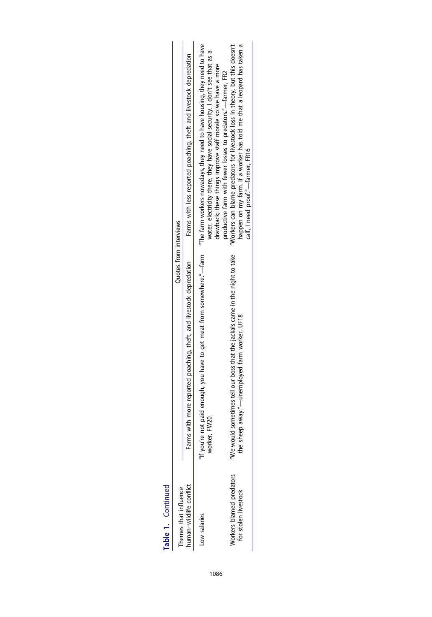| ı |  |  |
|---|--|--|
|   |  |  |
|   |  |  |
|   |  |  |
|   |  |  |
| t |  |  |
|   |  |  |
|   |  |  |
|   |  |  |
|   |  |  |
|   |  |  |
|   |  |  |
|   |  |  |
|   |  |  |
|   |  |  |
|   |  |  |

| Themes that influence                            | Quotes from interviews                                                                                                       |                                                                                                                                                                                                                                                                                                  |
|--------------------------------------------------|------------------------------------------------------------------------------------------------------------------------------|--------------------------------------------------------------------------------------------------------------------------------------------------------------------------------------------------------------------------------------------------------------------------------------------------|
| human-wildlife conflict                          | Farms with more reported poaching, theft, and livestock depredation                                                          | Farms with less reported poaching, theft and livestock depredation                                                                                                                                                                                                                               |
| Low salaries                                     | worker, FW20                                                                                                                 | If you're not paid enough, you have to get meat from somewhere."—farm $\,$ "The farm workers nowadays, they need to have housing, they need to have<br>water, electricity there, they have social security. I don't see that as<br>drawback; these things improve staff morale so we have a more |
| Vorkers blamed predators<br>for stolen livestock | We would sometimes tell our boss that the jackals came in the night to take<br>the sheep away."—unemployed farm worker, UF18 | happen on my farm. If a worker has told me that a leopard has taken a<br>"Workers can blame predators for livestock loss in theory, but this doesn't<br>productive farm with fewer losses to predators."-farmer, FR2<br>calf, I need proof."—farmer, FR16                                        |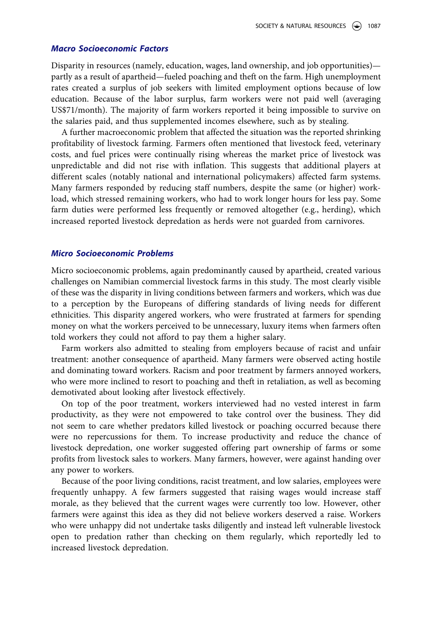#### *Macro Socioeconomic Factors*

Disparity in resources (namely, education, wages, land ownership, and job opportunities) partly as a result of apartheid—fueled poaching and theft on the farm. High unemployment rates created a surplus of job seekers with limited employment options because of low education. Because of the labor surplus, farm workers were not paid well (averaging US\$71/month). The majority of farm workers reported it being impossible to survive on the salaries paid, and thus supplemented incomes elsewhere, such as by stealing.

A further macroeconomic problem that affected the situation was the reported shrinking profitability of livestock farming. Farmers often mentioned that livestock feed, veterinary costs, and fuel prices were continually rising whereas the market price of livestock was unpredictable and did not rise with inflation. This suggests that additional players at different scales (notably national and international policymakers) affected farm systems. Many farmers responded by reducing staff numbers, despite the same (or higher) workload, which stressed remaining workers, who had to work longer hours for less pay. Some farm duties were performed less frequently or removed altogether (e.g., herding), which increased reported livestock depredation as herds were not guarded from carnivores.

#### *Micro Socioeconomic Problems*

Micro socioeconomic problems, again predominantly caused by apartheid, created various challenges on Namibian commercial livestock farms in this study. The most clearly visible of these was the disparity in living conditions between farmers and workers, which was due to a perception by the Europeans of differing standards of living needs for different ethnicities. This disparity angered workers, who were frustrated at farmers for spending money on what the workers perceived to be unnecessary, luxury items when farmers often told workers they could not afford to pay them a higher salary.

Farm workers also admitted to stealing from employers because of racist and unfair treatment: another consequence of apartheid. Many farmers were observed acting hostile and dominating toward workers. Racism and poor treatment by farmers annoyed workers, who were more inclined to resort to poaching and theft in retaliation, as well as becoming demotivated about looking after livestock effectively.

On top of the poor treatment, workers interviewed had no vested interest in farm productivity, as they were not empowered to take control over the business. They did not seem to care whether predators killed livestock or poaching occurred because there were no repercussions for them. To increase productivity and reduce the chance of livestock depredation, one worker suggested offering part ownership of farms or some profits from livestock sales to workers. Many farmers, however, were against handing over any power to workers.

Because of the poor living conditions, racist treatment, and low salaries, employees were frequently unhappy. A few farmers suggested that raising wages would increase staff morale, as they believed that the current wages were currently too low. However, other farmers were against this idea as they did not believe workers deserved a raise. Workers who were unhappy did not undertake tasks diligently and instead left vulnerable livestock open to predation rather than checking on them regularly, which reportedly led to increased livestock depredation.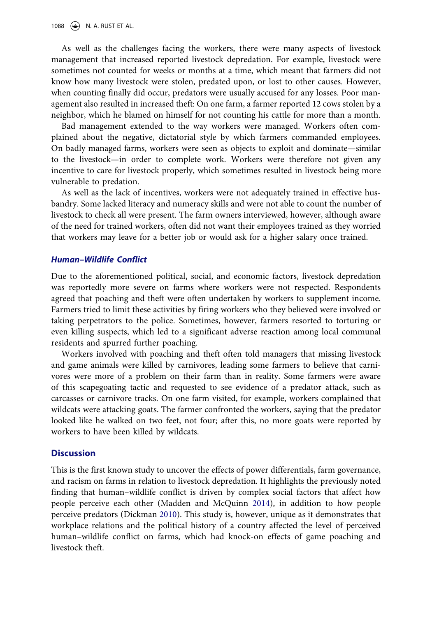1088  $\leftrightarrow$  N. A. RUST ET AL.

As well as the challenges facing the workers, there were many aspects of livestock management that increased reported livestock depredation. For example, livestock were sometimes not counted for weeks or months at a time, which meant that farmers did not know how many livestock were stolen, predated upon, or lost to other causes. However, when counting finally did occur, predators were usually accused for any losses. Poor management also resulted in increased theft: On one farm, a farmer reported 12 cows stolen by a neighbor, which he blamed on himself for not counting his cattle for more than a month.

Bad management extended to the way workers were managed. Workers often complained about the negative, dictatorial style by which farmers commanded employees. On badly managed farms, workers were seen as objects to exploit and dominate—similar to the livestock—in order to complete work. Workers were therefore not given any incentive to care for livestock properly, which sometimes resulted in livestock being more vulnerable to predation.

As well as the lack of incentives, workers were not adequately trained in effective husbandry. Some lacked literacy and numeracy skills and were not able to count the number of livestock to check all were present. The farm owners interviewed, however, although aware of the need for trained workers, often did not want their employees trained as they worried that workers may leave for a better job or would ask for a higher salary once trained.

#### *Human–Wildlife Conflict*

Due to the aforementioned political, social, and economic factors, livestock depredation was reportedly more severe on farms where workers were not respected. Respondents agreed that poaching and theft were often undertaken by workers to supplement income. Farmers tried to limit these activities by firing workers who they believed were involved or taking perpetrators to the police. Sometimes, however, farmers resorted to torturing or even killing suspects, which led to a significant adverse reaction among local communal residents and spurred further poaching.

Workers involved with poaching and theft often told managers that missing livestock and game animals were killed by carnivores, leading some farmers to believe that carnivores were more of a problem on their farm than in reality. Some farmers were aware of this scapegoating tactic and requested to see evidence of a predator attack, such as carcasses or carnivore tracks. On one farm visited, for example, workers complained that wildcats were attacking goats. The farmer confronted the workers, saying that the predator looked like he walked on two feet, not four; after this, no more goats were reported by workers to have been killed by wildcats.

#### **Discussion**

This is the first known study to uncover the effects of power differentials, farm governance, and racism on farms in relation to livestock depredation. It highlights the previously noted finding that human–wildlife conflict is driven by complex social factors that affect how people perceive each other (Madden and McQuinn [2014\)](#page-14-0), in addition to how people perceive predators (Dickman [2010](#page-13-0)). This study is, however, unique as it demonstrates that workplace relations and the political history of a country affected the level of perceived human–wildlife conflict on farms, which had knock-on effects of game poaching and livestock theft.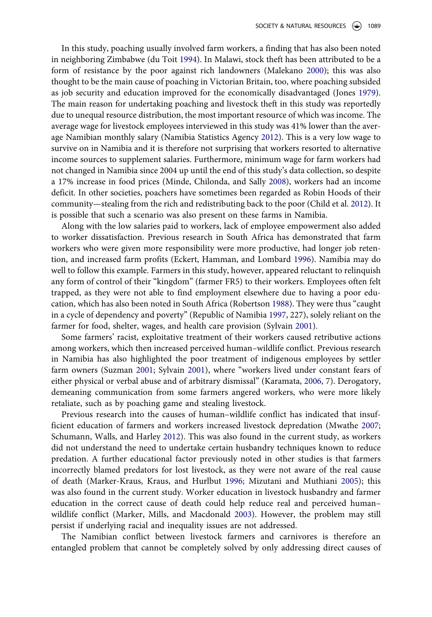In this study, poaching usually involved farm workers, a finding that has also been noted in neighboring Zimbabwe (du Toit [1994](#page-13-0)). In Malawi, stock theft has been attributed to be a form of resistance by the poor against rich landowners (Malekano [2000\)](#page-14-0); this was also thought to be the main cause of poaching in Victorian Britain, too, where poaching subsided as job security and education improved for the economically disadvantaged (Jones [1979](#page-14-0)). The main reason for undertaking poaching and livestock theft in this study was reportedly due to unequal resource distribution, the most important resource of which was income. The average wage for livestock employees interviewed in this study was 41% lower than the average Namibian monthly salary (Namibia Statistics Agency [2012\)](#page-15-0). This is a very low wage to survive on in Namibia and it is therefore not surprising that workers resorted to alternative income sources to supplement salaries. Furthermore, minimum wage for farm workers had not changed in Namibia since 2004 up until the end of this study's data collection, so despite a 17% increase in food prices (Minde, Chilonda, and Sally [2008\)](#page-15-0), workers had an income deficit. In other societies, poachers have sometimes been regarded as Robin Hoods of their community—stealing from the rich and redistributing back to the poor (Child et al. [2012](#page-13-0)). It is possible that such a scenario was also present on these farms in Namibia.

Along with the low salaries paid to workers, lack of employee empowerment also added to worker dissatisfaction. Previous research in South Africa has demonstrated that farm workers who were given more responsibility were more productive, had longer job retention, and increased farm profits (Eckert, Hamman, and Lombard [1996\)](#page-13-0). Namibia may do well to follow this example. Farmers in this study, however, appeared reluctant to relinquish any form of control of their "kingdom" (farmer FR5) to their workers. Employees often felt trapped, as they were not able to find employment elsewhere due to having a poor education, which has also been noted in South Africa (Robertson [1988](#page-15-0)). They were thus "caught in a cycle of dependency and poverty" (Republic of Namibia [1997,](#page-15-0) 227), solely reliant on the farmer for food, shelter, wages, and health care provision (Sylvain [2001\)](#page-16-0).

Some farmers' racist, exploitative treatment of their workers caused retributive actions among workers, which then increased perceived human–wildlife conflict. Previous research in Namibia has also highlighted the poor treatment of indigenous employees by settler farm owners (Suzman [2001;](#page-16-0) Sylvain [2001](#page-16-0)), where "workers lived under constant fears of either physical or verbal abuse and of arbitrary dismissal" (Karamata, [2006,](#page-14-0) 7). Derogatory, demeaning communication from some farmers angered workers, who were more likely retaliate, such as by poaching game and stealing livestock.

Previous research into the causes of human–wildlife conflict has indicated that insufficient education of farmers and workers increased livestock depredation (Mwathe [2007;](#page-15-0) Schumann, Walls, and Harley [2012](#page-16-0)). This was also found in the current study, as workers did not understand the need to undertake certain husbandry techniques known to reduce predation. A further educational factor previously noted in other studies is that farmers incorrectly blamed predators for lost livestock, as they were not aware of the real cause of death (Marker-Kraus, Kraus, and Hurlbut [1996](#page-14-0); Mizutani and Muthiani [2005](#page-15-0)); this was also found in the current study. Worker education in livestock husbandry and farmer education in the correct cause of death could help reduce real and perceived human– wildlife conflict (Marker, Mills, and Macdonald [2003\)](#page-14-0). However, the problem may still persist if underlying racial and inequality issues are not addressed.

The Namibian conflict between livestock farmers and carnivores is therefore an entangled problem that cannot be completely solved by only addressing direct causes of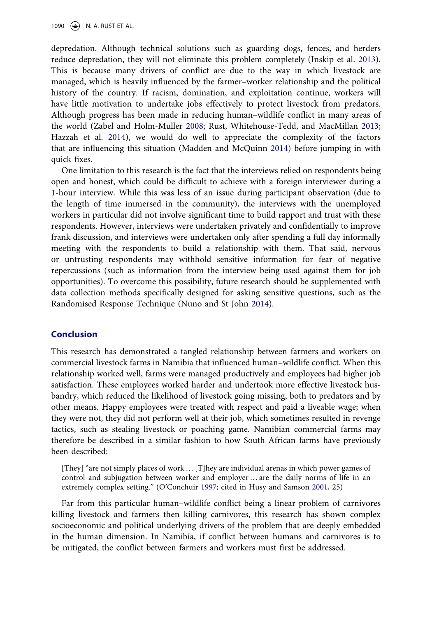depredation. Although technical solutions such as guarding dogs, fences, and herders reduce depredation, they will not eliminate this problem completely (Inskip et al. [2013](#page-14-0)). This is because many drivers of conflict are due to the way in which livestock are managed, which is heavily influenced by the farmer–worker relationship and the political history of the country. If racism, domination, and exploitation continue, workers will have little motivation to undertake jobs effectively to protect livestock from predators. Although progress has been made in reducing human–wildlife conflict in many areas of the world (Zabel and Holm-Muller [2008](#page-16-0); Rust, Whitehouse-Tedd, and MacMillan [2013;](#page-15-0) Hazzah et al. [2014](#page-14-0)), we would do well to appreciate the complexity of the factors that are influencing this situation (Madden and McQuinn [2014\)](#page-14-0) before jumping in with quick fixes.

One limitation to this research is the fact that the interviews relied on respondents being open and honest, which could be difficult to achieve with a foreign interviewer during a 1-hour interview. While this was less of an issue during participant observation (due to the length of time immersed in the community), the interviews with the unemployed workers in particular did not involve significant time to build rapport and trust with these respondents. However, interviews were undertaken privately and confidentially to improve frank discussion, and interviews were undertaken only after spending a full day informally meeting with the respondents to build a relationship with them. That said, nervous or untrusting respondents may withhold sensitive information for fear of negative repercussions (such as information from the interview being used against them for job opportunities). To overcome this possibility, future research should be supplemented with data collection methods specifically designed for asking sensitive questions, such as the Randomised Response Technique (Nuno and St John [2014\)](#page-15-0).

#### **Conclusion**

This research has demonstrated a tangled relationship between farmers and workers on commercial livestock farms in Namibia that influenced human–wildlife conflict. When this relationship worked well, farms were managed productively and employees had higher job satisfaction. These employees worked harder and undertook more effective livestock husbandry, which reduced the likelihood of livestock going missing, both to predators and by other means. Happy employees were treated with respect and paid a liveable wage; when they were not, they did not perform well at their job, which sometimes resulted in revenge tactics, such as stealing livestock or poaching game. Namibian commercial farms may therefore be described in a similar fashion to how South African farms have previously been described:

[They] "are not simply places of work … [T]hey are individual arenas in which power games of control and subjugation between worker and employer … are the daily norms of life in an extremely complex setting." (O'Conchuir [1997;](#page-15-0) cited in Husy and Samson [2001](#page-14-0), 25)

Far from this particular human–wildlife conflict being a linear problem of carnivores killing livestock and farmers then killing carnivores, this research has shown complex socioeconomic and political underlying drivers of the problem that are deeply embedded in the human dimension. In Namibia, if conflict between humans and carnivores is to be mitigated, the conflict between farmers and workers must first be addressed.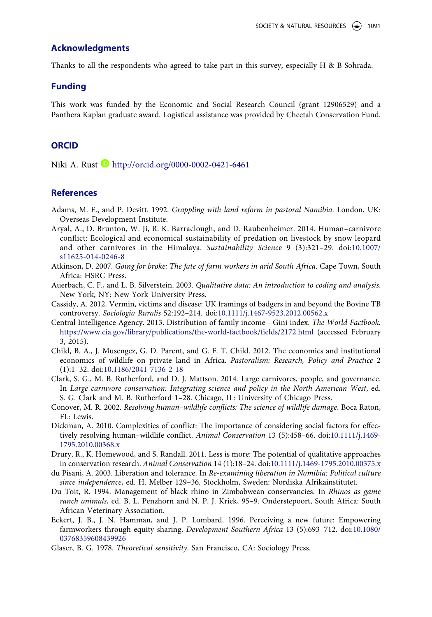#### <span id="page-13-0"></span>**Acknowledgments**

Thanks to all the respondents who agreed to take part in this survey, especially H & B Sohrada.

#### **Funding**

This work was funded by the Economic and Social Research Council (grant 12906529) and a Panthera Kaplan graduate award. Logistical assistance was provided by Cheetah Conservation Fund.

#### **ORCID**

Niki A. Rust **h**ttp://orcid.org/0000-0002-0421-6461

#### **References**

- Adams, M. E., and P. Devitt. 1992. *Grappling with land reform in pastoral Namibia*. London, UK: Overseas Development Institute.
- Aryal, A., D. Brunton, W. Ji, R. K. Barraclough, and D. Raubenheimer. 2014. Human–carnivore conflict: Ecological and economical sustainability of predation on livestock by snow leopard and other carnivores in the Himalaya. *Sustainability Science* 9 (3):321–29. doi[:10.1007/](http://dx.doi.org/10.1007/s11625-014-0246-8) [s11625-014-0246-8](http://dx.doi.org/10.1007/s11625-014-0246-8)
- Atkinson, D. 2007. *Going for broke: The fate of farm workers in arid South Africa*. Cape Town, South Africa: HSRC Press.
- Auerbach, C. F., and L. B. Silverstein. 2003. *Qualitative data: An introduction to coding and analysis*. New York, NY: New York University Press.
- Cassidy, A. 2012. Vermin, victims and disease: UK framings of badgers in and beyond the Bovine TB controversy. *Sociologia Ruralis* 52:192–214. doi[:10.1111/j.1467-9523.2012.00562.x](http://dx.doi.org/10.1111/j.1467-9523.2012.00562.x)
- Central Intelligence Agency. 2013. Distribution of family income—Gini index. *The World Factbook.*  <https://www.cia.gov/library/publications/the-world-factbook/fields/2172.html>(accessed February 3, 2015).
- Child, B. A., J. Musengez, G. D. Parent, and G. F. T. Child. 2012. The economics and institutional economics of wildlife on private land in Africa. *Pastoralism: Research, Policy and Practice* 2 (1):1–32. doi[:10.1186/2041-7136-2-18](http://dx.doi.org/10.1186/2041-7136-2-18)
- Clark, S. G., M. B. Rutherford, and D. J. Mattson. 2014. Large carnivores, people, and governance. In *Large carnivore conservation: Integrating science and policy in the North American West*, ed. S. G. Clark and M. B. Rutherford 1–28. Chicago, IL: University of Chicago Press.
- Conover, M. R. 2002. *Resolving human–wildlife conflicts: The science of wildlife damage*. Boca Raton, FL: Lewis.
- Dickman, A. 2010. Complexities of conflict: The importance of considering social factors for effectively resolving human–wildlife conflict. *Animal Conservation* 13 (5):458–66. doi:[10.1111/j.1469-](http://dx.doi.org/10.1111/j.1469-1795.2010.00368.x) [1795.2010.00368.x](http://dx.doi.org/10.1111/j.1469-1795.2010.00368.x)
- Drury, R., K. Homewood, and S. Randall. 2011. Less is more: The potential of qualitative approaches in conservation research. *Animal Conservation* 14 (1):18–24. doi:[10.1111/j.1469-1795.2010.00375.x](http://dx.doi.org/10.1111/j.1469-1795.2010.00375.x)
- du Pisani, A. 2003. Liberation and tolerance. In *Re-examining liberation in Namibia: Political culture since independence*, ed. H. Melber 129–36. Stockholm, Sweden: Nordiska Afrikainstitutet.
- Du Toit, R. 1994. Management of black rhino in Zimbabwean conservancies. In *Rhinos as game ranch animals*, ed. B. L. Penzhorn and N. P. J. Kriek, 95–9. Onderstepoort, South Africa: South African Veterinary Association.
- Eckert, J. B., J. N. Hamman, and J. P. Lombard. 1996. Perceiving a new future: Empowering farmworkers through equity sharing. *Development Southern Africa* 13 (5):693–712. doi:[10.1080/](http://dx.doi.org/10.1080/03768359608439926) [03768359608439926](http://dx.doi.org/10.1080/03768359608439926)
- Glaser, B. G. 1978. *Theoretical sensitivity*. San Francisco, CA: Sociology Press.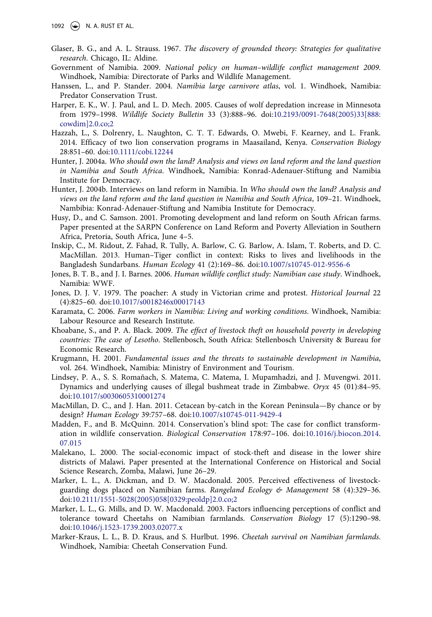- <span id="page-14-0"></span>Glaser, B. G., and A. L. Strauss. 1967. *The discovery of grounded theory: Strategies for qualitative research*. Chicago, IL: Aldine.
- Government of Namibia. 2009. *National policy on human–wildlife conflict management 2009*. Windhoek, Namibia: Directorate of Parks and Wildlife Management.
- Hanssen, L., and P. Stander. 2004. *Namibia large carnivore atlas*, vol. 1. Windhoek, Namibia: Predator Conservation Trust.
- Harper, E. K., W. J. Paul, and L. D. Mech. 2005. Causes of wolf depredation increase in Minnesota from 1979–1998. *Wildlife Society Bulletin* 33 (3):888–96. doi[:10.2193/0091-7648\(2005\)33\[888:](http://dx.doi.org/10.2193/0091-7648(2005)33[888:cowdim]2.0.co;2) [cowdim\]2.0.co;2](http://dx.doi.org/10.2193/0091-7648(2005)33[888:cowdim]2.0.co;2)
- Hazzah, L., S. Dolrenry, L. Naughton, C. T. T. Edwards, O. Mwebi, F. Kearney, and L. Frank. 2014. Efficacy of two lion conservation programs in Maasailand, Kenya. *Conservation Biology*  28:851–60. doi[:10.1111/cobi.12244](http://dx.doi.org/10.1111/cobi.12244)
- Hunter, J. 2004a. *Who should own the land? Analysis and views on land reform and the land question in Namibia and South Africa*. Windhoek, Namibia: Konrad-Adenauer-Stiftung and Namibia Institute for Democracy.
- Hunter, J. 2004b. Interviews on land reform in Namibia. In *Who should own the land? Analysis and views on the land reform and the land question in Namibia and South Africa*, 109–21. Windhoek, Nambibia: Konrad-Adenauer-Stiftung and Namibia Institute for Democracy.
- Husy, D., and C. Samson. 2001. Promoting development and land reform on South African farms. Paper presented at the SARPN Conference on Land Reform and Poverty Alleviation in Southern Africa, Pretoria, South Africa, June 4–5.
- Inskip, C., M. Ridout, Z. Fahad, R. Tully, A. Barlow, C. G. Barlow, A. Islam, T. Roberts, and D. C. MacMillan. 2013. Human–Tiger conflict in context: Risks to lives and livelihoods in the Bangladesh Sundarbans. *Human Ecology* 41 (2):169–86. doi[:10.1007/s10745-012-9556-6](http://dx.doi.org/10.1007/s10745-012-9556-6)
- Jones, B. T. B., and J. I. Barnes. 2006. *Human wildlife conflict study: Namibian case study*. Windhoek, Namibia: WWF.
- Jones, D. J. V. 1979. The poacher: A study in Victorian crime and protest. *Historical Journal* 22 (4):825–60. doi[:10.1017/s0018246x00017143](http://dx.doi.org/10.1017/s0018246x00017143)
- Karamata, C. 2006. *Farm workers in Namibia: Living and working conditions*. Windhoek, Namibia: Labour Resource and Research Institute.
- Khoabane, S., and P. A. Black. 2009. *The effect of livestock theft on household poverty in developing countries: The case of Lesotho*. Stellenbosch, South Africa: Stellenbosch University & Bureau for Economic Research.
- Krugmann, H. 2001. *Fundamental issues and the threats to sustainable development in Namibia*, vol. 264. Windhoek, Namibia: Ministry of Environment and Tourism.
- Lindsey, P. A., S. S. Romañach, S. Matema, C. Matema, I. Mupamhadzi, and J. Muvengwi. 2011. Dynamics and underlying causes of illegal bushmeat trade in Zimbabwe. *Oryx* 45 (01):84–95. doi[:10.1017/s0030605310001274](http://dx.doi.org/10.1017/s0030605310001274)
- MacMillan, D. C., and J. Han. 2011. Cetacean by-catch in the Korean Peninsula—By chance or by design? *Human Ecology* 39:757–68. doi:[10.1007/s10745-011-9429-4](http://dx.doi.org/10.1007/s10745-011-9429-4)
- Madden, F., and B. McQuinn. 2014. Conservation's blind spot: The case for conflict transformation in wildlife conservation. *Biological Conservation* 178:97–106. doi[:10.1016/j.biocon.2014.](http://dx.doi.org/10.1016/j.biocon.2014.07.015) [07.015](http://dx.doi.org/10.1016/j.biocon.2014.07.015)
- Malekano, L. 2000. The social-economic impact of stock-theft and disease in the lower shire districts of Malawi. Paper presented at the International Conference on Historical and Social Science Research, Zomba, Malawi, June 26–29.
- Marker, L. L., A. Dickman, and D. W. Macdonald. 2005. Perceived effectiveness of livestockguarding dogs placed on Namibian farms. *Rangeland Ecology & Management* 58 (4):329–36. doi[:10.2111/1551-5028\(2005\)058\[0329:peoldp\]2.0.co;2](http://dx.doi.org/10.2111/1551-5028(2005)058[0329:peoldp]2.0.co;2)
- Marker, L. L., G. Mills, and D. W. Macdonald. 2003. Factors influencing perceptions of conflict and tolerance toward Cheetahs on Namibian farmlands. *Conservation Biology* 17 (5):1290–98. doi[:10.1046/j.1523-1739.2003.02077.x](http://dx.doi.org/10.1046/j.1523-1739.2003.02077.x)
- Marker-Kraus, L. L., B. D. Kraus, and S. Hurlbut. 1996. *Cheetah survival on Namibian farmlands*. Windhoek, Namibia: Cheetah Conservation Fund.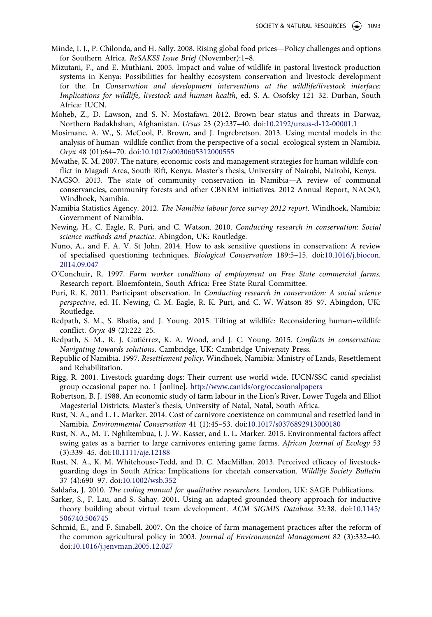- <span id="page-15-0"></span>Minde, I. J., P. Chilonda, and H. Sally. 2008. Rising global food prices—Policy challenges and options for Southern Africa. *ReSAKSS Issue Brief* (November):1–8.
- Mizutani, F., and E. Muthiani. 2005. Impact and value of wildlife in pastoral livestock production systems in Kenya: Possibilities for healthy ecosystem conservation and livestock development for the. In *Conservation and development interventions at the wildlife/livestock interface: Implications for wildlife, livestock and human health*, ed. S. A. Osofsky 121–32. Durban, South Africa: IUCN.
- Moheb, Z., D. Lawson, and S. N. Mostafawi. 2012. Brown bear status and threats in Darwaz, Northern Badakhshan, Afghanistan. *Ursus* 23 (2):237–40. doi[:10.2192/ursus-d-12-00001.1](http://dx.doi.org/10.2192/ursus-d-12-00001.1)
- Mosimane, A. W., S. McCool, P. Brown, and J. Ingrebretson. 2013. Using mental models in the analysis of human–wildlife conflict from the perspective of a social–ecological system in Namibia. *Oryx* 48 (01):64–70. doi:[10.1017/s0030605312000555](http://dx.doi.org/10.1017/s0030605312000555)
- Mwathe, K. M. 2007. The nature, economic costs and management strategies for human wildlife conflict in Magadi Area, South Rift, Kenya. Master's thesis, University of Nairobi, Nairobi, Kenya.
- NACSO. 2013. The state of community conservation in Namibia—A review of communal conservancies, community forests and other CBNRM initiatives. 2012 Annual Report, NACSO, Windhoek, Namibia.
- Namibia Statistics Agency. 2012. *The Namibia labour force survey 2012 report*. Windhoek, Namibia: Government of Namibia.
- Newing, H., C. Eagle, R. Puri, and C. Watson. 2010. *Conducting research in conservation: Social science methods and practice*. Abingdon, UK: Routledge.
- Nuno, A., and F. A. V. St John. 2014. How to ask sensitive questions in conservation: A review of specialised questioning techniques. *Biological Conservation* 189:5–15. doi:[10.1016/j.biocon.](http://dx.doi.org/10.1016/j.biocon.2014.09.047) [2014.09.047](http://dx.doi.org/10.1016/j.biocon.2014.09.047)
- O'Conchuir, R. 1997. *Farm worker conditions of employment on Free State commercial farms.*  Research report. Bloemfontein, South Africa: Free State Rural Committee.
- Puri, R. K. 2011. Participant observation. In *Conducting research in conservation: A social science perspective*, ed. H. Newing, C. M. Eagle, R. K. Puri, and C. W. Watson 85–97. Abingdon, UK: Routledge.
- Redpath, S. M., S. Bhatia, and J. Young. 2015. Tilting at wildlife: Reconsidering human–wildlife conflict. *Oryx* 49 (2):222–25.
- Redpath, S. M., R. J. Gutiérrez, K. A. Wood, and J. C. Young. 2015. *Conflicts in conservation: Navigating towards solutions*. Cambridge, UK: Cambridge University Press.
- Republic of Namibia. 1997. *Resettlement policy*. Windhoek, Namibia: Ministry of Lands, Resettlement and Rehabilitation.
- Rigg, R. 2001. Livestock guarding dogs: Their current use world wide. IUCN/SSC canid specialist group occasional paper no. 1 [online]. <http://www.canids/org/occasionalpapers>
- Robertson, B. J. 1988. An economic study of farm labour in the Lion's River, Lower Tugela and Elliot Magesterial Districts. Master's thesis, University of Natal, Natal, South Africa.
- Rust, N. A., and L. L. Marker. 2014. Cost of carnivore coexistence on communal and resettled land in Namibia. *Environmental Conservation* 41 (1):45–53. doi:[10.1017/s0376892913000180](http://dx.doi.org/10.1017/s0376892913000180)
- Rust, N. A., M. T. Nghikembua, J. J. W. Kasser, and L. L. Marker. 2015. Environmental factors affect swing gates as a barrier to large carnivores entering game farms. *African Journal of Ecology* 53 (3):339–45. doi[:10.1111/aje.12188](http://dx.doi.org/10.1111/aje.12188)
- Rust, N. A., K. M. Whitehouse-Tedd, and D. C. MacMillan. 2013. Perceived efficacy of livestockguarding dogs in South Africa: Implications for cheetah conservation. *Wildlife Society Bulletin*  37 (4):690–97. doi:[10.1002/wsb.352](http://dx.doi.org/10.1002/wsb.352)
- Saldaña, J. 2010. *The coding manual for qualitative researchers*. London, UK: SAGE Publications.
- Sarker, S., F. Lau, and S. Sahay. 2001. Using an adapted grounded theory approach for inductive theory building about virtual team development. *ACM SIGMIS Database* 32:38. doi:[10.1145/](http://dx.doi.org/10.1145/506740.506745) [506740.506745](http://dx.doi.org/10.1145/506740.506745)
- Schmid, E., and F. Sinabell. 2007. On the choice of farm management practices after the reform of the common agricultural policy in 2003. *Journal of Environmental Management* 82 (3):332–40. doi[:10.1016/j.jenvman.2005.12.027](http://dx.doi.org/10.1016/j.jenvman.2005.12.027)